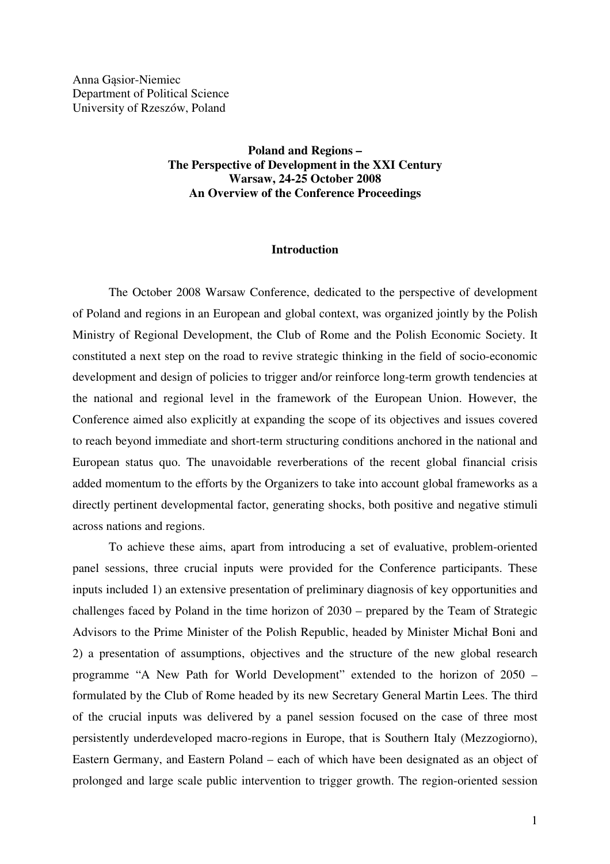Anna Gąsior-Niemiec Department of Political Science University of Rzeszów, Poland

### **Poland and Regions – The Perspective of Development in the XXI Century Warsaw, 24-25 October 2008 An Overview of the Conference Proceedings**

#### **Introduction**

The October 2008 Warsaw Conference, dedicated to the perspective of development of Poland and regions in an European and global context, was organized jointly by the Polish Ministry of Regional Development, the Club of Rome and the Polish Economic Society. It constituted a next step on the road to revive strategic thinking in the field of socio-economic development and design of policies to trigger and/or reinforce long-term growth tendencies at the national and regional level in the framework of the European Union. However, the Conference aimed also explicitly at expanding the scope of its objectives and issues covered to reach beyond immediate and short-term structuring conditions anchored in the national and European status quo. The unavoidable reverberations of the recent global financial crisis added momentum to the efforts by the Organizers to take into account global frameworks as a directly pertinent developmental factor, generating shocks, both positive and negative stimuli across nations and regions.

To achieve these aims, apart from introducing a set of evaluative, problem-oriented panel sessions, three crucial inputs were provided for the Conference participants. These inputs included 1) an extensive presentation of preliminary diagnosis of key opportunities and challenges faced by Poland in the time horizon of 2030 – prepared by the Team of Strategic Advisors to the Prime Minister of the Polish Republic, headed by Minister Michał Boni and 2) a presentation of assumptions, objectives and the structure of the new global research programme "A New Path for World Development" extended to the horizon of 2050 – formulated by the Club of Rome headed by its new Secretary General Martin Lees. The third of the crucial inputs was delivered by a panel session focused on the case of three most persistently underdeveloped macro-regions in Europe, that is Southern Italy (Mezzogiorno), Eastern Germany, and Eastern Poland – each of which have been designated as an object of prolonged and large scale public intervention to trigger growth. The region-oriented session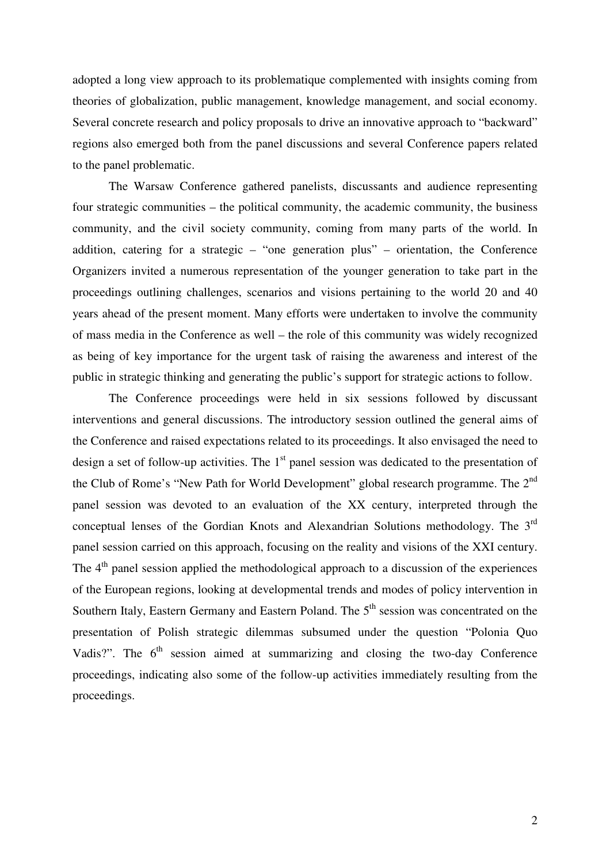adopted a long view approach to its problematique complemented with insights coming from theories of globalization, public management, knowledge management, and social economy. Several concrete research and policy proposals to drive an innovative approach to "backward" regions also emerged both from the panel discussions and several Conference papers related to the panel problematic.

The Warsaw Conference gathered panelists, discussants and audience representing four strategic communities – the political community, the academic community, the business community, and the civil society community, coming from many parts of the world. In addition, catering for a strategic – "one generation plus" – orientation, the Conference Organizers invited a numerous representation of the younger generation to take part in the proceedings outlining challenges, scenarios and visions pertaining to the world 20 and 40 years ahead of the present moment. Many efforts were undertaken to involve the community of mass media in the Conference as well – the role of this community was widely recognized as being of key importance for the urgent task of raising the awareness and interest of the public in strategic thinking and generating the public's support for strategic actions to follow.

The Conference proceedings were held in six sessions followed by discussant interventions and general discussions. The introductory session outlined the general aims of the Conference and raised expectations related to its proceedings. It also envisaged the need to design a set of follow-up activities. The  $1<sup>st</sup>$  panel session was dedicated to the presentation of the Club of Rome's "New Path for World Development" global research programme. The 2<sup>nd</sup> panel session was devoted to an evaluation of the XX century, interpreted through the conceptual lenses of the Gordian Knots and Alexandrian Solutions methodology. The 3rd panel session carried on this approach, focusing on the reality and visions of the XXI century. The 4<sup>th</sup> panel session applied the methodological approach to a discussion of the experiences of the European regions, looking at developmental trends and modes of policy intervention in Southern Italy, Eastern Germany and Eastern Poland. The  $5<sup>th</sup>$  session was concentrated on the presentation of Polish strategic dilemmas subsumed under the question "Polonia Quo Vadis?". The  $6<sup>th</sup>$  session aimed at summarizing and closing the two-day Conference proceedings, indicating also some of the follow-up activities immediately resulting from the proceedings.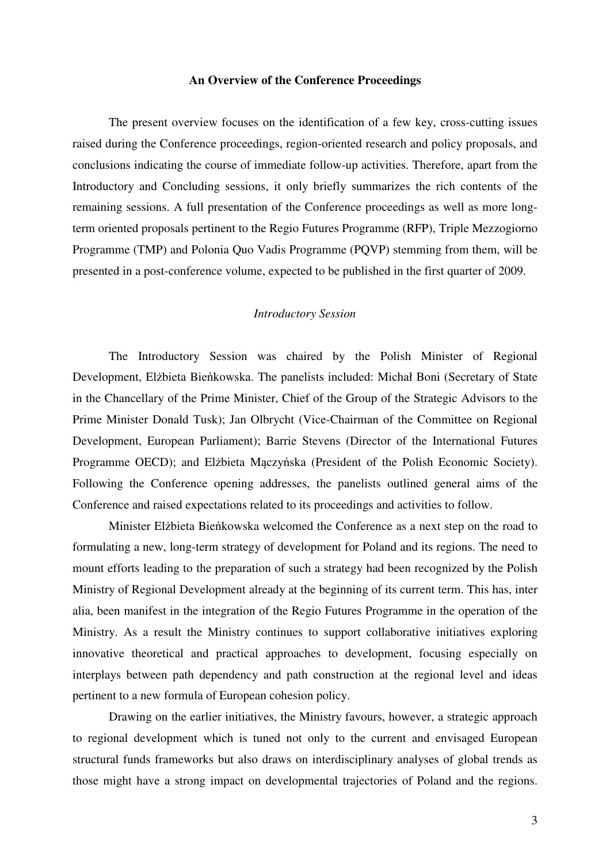#### **An Overview of the Conference Proceedings**

The present overview focuses on the identification of a few key, cross-cutting issues raised during the Conference proceedings, region-oriented research and policy proposals, and conclusions indicating the course of immediate follow-up activities. Therefore, apart from the Introductory and Concluding sessions, it only briefly summarizes the rich contents of the remaining sessions. A full presentation of the Conference proceedings as well as more longterm oriented proposals pertinent to the Regio Futures Programme (RFP), Triple Mezzogiorno Programme (TMP) and Polonia Quo Vadis Programme (PQVP) stemming from them, will be presented in a post-conference volume, expected to be published in the first quarter of 2009.

#### *Introductory Session*

The Introductory Session was chaired by the Polish Minister of Regional Development, Elżbieta Bieńkowska. The panelists included: Michał Boni (Secretary of State in the Chancellary of the Prime Minister, Chief of the Group of the Strategic Advisors to the Prime Minister Donald Tusk); Jan Olbrycht (Vice-Chairman of the Committee on Regional Development, European Parliament); Barrie Stevens (Director of the International Futures Programme OECD); and Elżbieta Mączyńska (President of the Polish Economic Society). Following the Conference opening addresses, the panelists outlined general aims of the Conference and raised expectations related to its proceedings and activities to follow.

Minister Elżbieta Bieńkowska welcomed the Conference as a next step on the road to formulating a new, long-term strategy of development for Poland and its regions. The need to mount efforts leading to the preparation of such a strategy had been recognized by the Polish Ministry of Regional Development already at the beginning of its current term. This has, inter alia, been manifest in the integration of the Regio Futures Programme in the operation of the Ministry. As a result the Ministry continues to support collaborative initiatives exploring innovative theoretical and practical approaches to development, focusing especially on interplays between path dependency and path construction at the regional level and ideas pertinent to a new formula of European cohesion policy.

Drawing on the earlier initiatives, the Ministry favours, however, a strategic approach to regional development which is tuned not only to the current and envisaged European structural funds frameworks but also draws on interdisciplinary analyses of global trends as those might have a strong impact on developmental trajectories of Poland and the regions.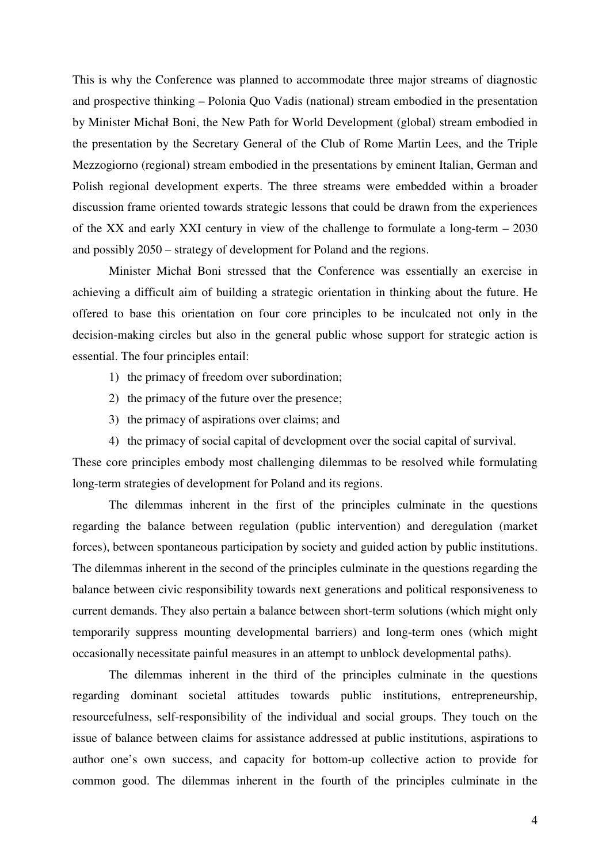This is why the Conference was planned to accommodate three major streams of diagnostic and prospective thinking – Polonia Quo Vadis (national) stream embodied in the presentation by Minister Michał Boni, the New Path for World Development (global) stream embodied in the presentation by the Secretary General of the Club of Rome Martin Lees, and the Triple Mezzogiorno (regional) stream embodied in the presentations by eminent Italian, German and Polish regional development experts. The three streams were embedded within a broader discussion frame oriented towards strategic lessons that could be drawn from the experiences of the XX and early XXI century in view of the challenge to formulate a long-term – 2030 and possibly 2050 – strategy of development for Poland and the regions.

Minister Michał Boni stressed that the Conference was essentially an exercise in achieving a difficult aim of building a strategic orientation in thinking about the future. He offered to base this orientation on four core principles to be inculcated not only in the decision-making circles but also in the general public whose support for strategic action is essential. The four principles entail:

- 1) the primacy of freedom over subordination;
- 2) the primacy of the future over the presence;
- 3) the primacy of aspirations over claims; and
- 4) the primacy of social capital of development over the social capital of survival.

These core principles embody most challenging dilemmas to be resolved while formulating long-term strategies of development for Poland and its regions.

The dilemmas inherent in the first of the principles culminate in the questions regarding the balance between regulation (public intervention) and deregulation (market forces), between spontaneous participation by society and guided action by public institutions. The dilemmas inherent in the second of the principles culminate in the questions regarding the balance between civic responsibility towards next generations and political responsiveness to current demands. They also pertain a balance between short-term solutions (which might only temporarily suppress mounting developmental barriers) and long-term ones (which might occasionally necessitate painful measures in an attempt to unblock developmental paths).

The dilemmas inherent in the third of the principles culminate in the questions regarding dominant societal attitudes towards public institutions, entrepreneurship, resourcefulness, self-responsibility of the individual and social groups. They touch on the issue of balance between claims for assistance addressed at public institutions, aspirations to author one's own success, and capacity for bottom-up collective action to provide for common good. The dilemmas inherent in the fourth of the principles culminate in the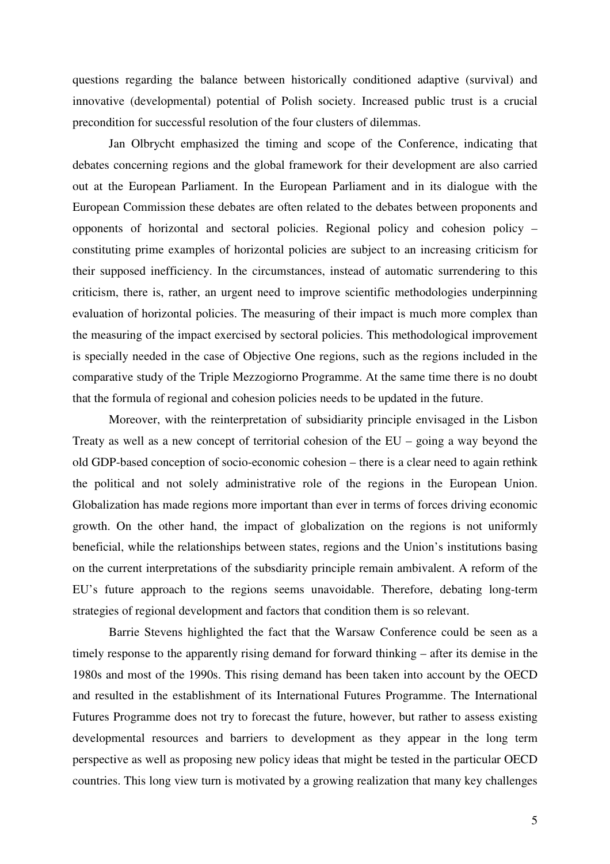questions regarding the balance between historically conditioned adaptive (survival) and innovative (developmental) potential of Polish society. Increased public trust is a crucial precondition for successful resolution of the four clusters of dilemmas.

Jan Olbrycht emphasized the timing and scope of the Conference, indicating that debates concerning regions and the global framework for their development are also carried out at the European Parliament. In the European Parliament and in its dialogue with the European Commission these debates are often related to the debates between proponents and opponents of horizontal and sectoral policies. Regional policy and cohesion policy – constituting prime examples of horizontal policies are subject to an increasing criticism for their supposed inefficiency. In the circumstances, instead of automatic surrendering to this criticism, there is, rather, an urgent need to improve scientific methodologies underpinning evaluation of horizontal policies. The measuring of their impact is much more complex than the measuring of the impact exercised by sectoral policies. This methodological improvement is specially needed in the case of Objective One regions, such as the regions included in the comparative study of the Triple Mezzogiorno Programme. At the same time there is no doubt that the formula of regional and cohesion policies needs to be updated in the future.

Moreover, with the reinterpretation of subsidiarity principle envisaged in the Lisbon Treaty as well as a new concept of territorial cohesion of the EU – going a way beyond the old GDP-based conception of socio-economic cohesion – there is a clear need to again rethink the political and not solely administrative role of the regions in the European Union. Globalization has made regions more important than ever in terms of forces driving economic growth. On the other hand, the impact of globalization on the regions is not uniformly beneficial, while the relationships between states, regions and the Union's institutions basing on the current interpretations of the subsdiarity principle remain ambivalent. A reform of the EU's future approach to the regions seems unavoidable. Therefore, debating long-term strategies of regional development and factors that condition them is so relevant.

Barrie Stevens highlighted the fact that the Warsaw Conference could be seen as a timely response to the apparently rising demand for forward thinking – after its demise in the 1980s and most of the 1990s. This rising demand has been taken into account by the OECD and resulted in the establishment of its International Futures Programme. The International Futures Programme does not try to forecast the future, however, but rather to assess existing developmental resources and barriers to development as they appear in the long term perspective as well as proposing new policy ideas that might be tested in the particular OECD countries. This long view turn is motivated by a growing realization that many key challenges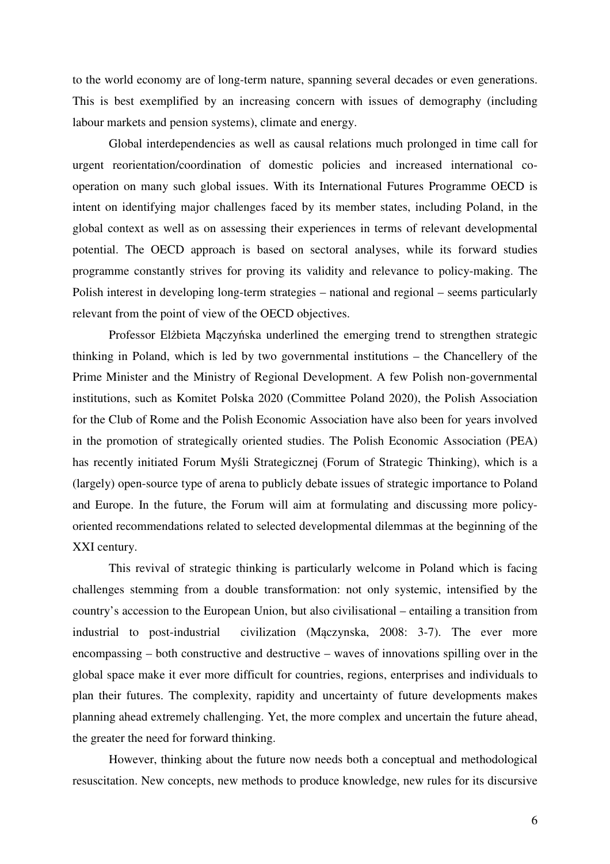to the world economy are of long-term nature, spanning several decades or even generations. This is best exemplified by an increasing concern with issues of demography (including labour markets and pension systems), climate and energy.

Global interdependencies as well as causal relations much prolonged in time call for urgent reorientation/coordination of domestic policies and increased international cooperation on many such global issues. With its International Futures Programme OECD is intent on identifying major challenges faced by its member states, including Poland, in the global context as well as on assessing their experiences in terms of relevant developmental potential. The OECD approach is based on sectoral analyses, while its forward studies programme constantly strives for proving its validity and relevance to policy-making. The Polish interest in developing long-term strategies – national and regional – seems particularly relevant from the point of view of the OECD objectives.

Professor Elżbieta Mączyńska underlined the emerging trend to strengthen strategic thinking in Poland, which is led by two governmental institutions – the Chancellery of the Prime Minister and the Ministry of Regional Development. A few Polish non-governmental institutions, such as Komitet Polska 2020 (Committee Poland 2020), the Polish Association for the Club of Rome and the Polish Economic Association have also been for years involved in the promotion of strategically oriented studies. The Polish Economic Association (PEA) has recently initiated Forum Myśli Strategicznej (Forum of Strategic Thinking), which is a (largely) open-source type of arena to publicly debate issues of strategic importance to Poland and Europe. In the future, the Forum will aim at formulating and discussing more policyoriented recommendations related to selected developmental dilemmas at the beginning of the XXI century.

This revival of strategic thinking is particularly welcome in Poland which is facing challenges stemming from a double transformation: not only systemic, intensified by the country's accession to the European Union, but also civilisational – entailing a transition from industrial to post-industrial civilization (Mączynska, 2008: 3-7). The ever more encompassing – both constructive and destructive – waves of innovations spilling over in the global space make it ever more difficult for countries, regions, enterprises and individuals to plan their futures. The complexity, rapidity and uncertainty of future developments makes planning ahead extremely challenging. Yet, the more complex and uncertain the future ahead, the greater the need for forward thinking.

However, thinking about the future now needs both a conceptual and methodological resuscitation. New concepts, new methods to produce knowledge, new rules for its discursive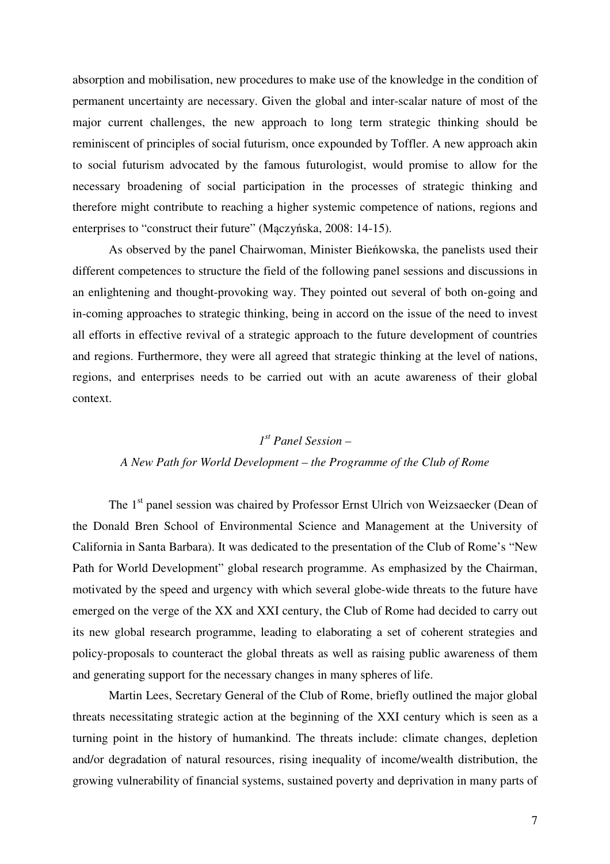absorption and mobilisation, new procedures to make use of the knowledge in the condition of permanent uncertainty are necessary. Given the global and inter-scalar nature of most of the major current challenges, the new approach to long term strategic thinking should be reminiscent of principles of social futurism, once expounded by Toffler. A new approach akin to social futurism advocated by the famous futurologist, would promise to allow for the necessary broadening of social participation in the processes of strategic thinking and therefore might contribute to reaching a higher systemic competence of nations, regions and enterprises to "construct their future" (Mączyńska, 2008: 14-15).

As observed by the panel Chairwoman, Minister Bieńkowska, the panelists used their different competences to structure the field of the following panel sessions and discussions in an enlightening and thought-provoking way. They pointed out several of both on-going and in-coming approaches to strategic thinking, being in accord on the issue of the need to invest all efforts in effective revival of a strategic approach to the future development of countries and regions. Furthermore, they were all agreed that strategic thinking at the level of nations, regions, and enterprises needs to be carried out with an acute awareness of their global context.

## *1 st Panel Session –*

### *A New Path for World Development – the Programme of the Club of Rome*

The 1<sup>st</sup> panel session was chaired by Professor Ernst Ulrich von Weizsaecker (Dean of the Donald Bren School of Environmental Science and Management at the University of California in Santa Barbara). It was dedicated to the presentation of the Club of Rome's "New Path for World Development" global research programme. As emphasized by the Chairman, motivated by the speed and urgency with which several globe-wide threats to the future have emerged on the verge of the XX and XXI century, the Club of Rome had decided to carry out its new global research programme, leading to elaborating a set of coherent strategies and policy-proposals to counteract the global threats as well as raising public awareness of them and generating support for the necessary changes in many spheres of life.

Martin Lees, Secretary General of the Club of Rome, briefly outlined the major global threats necessitating strategic action at the beginning of the XXI century which is seen as a turning point in the history of humankind. The threats include: climate changes, depletion and/or degradation of natural resources, rising inequality of income/wealth distribution, the growing vulnerability of financial systems, sustained poverty and deprivation in many parts of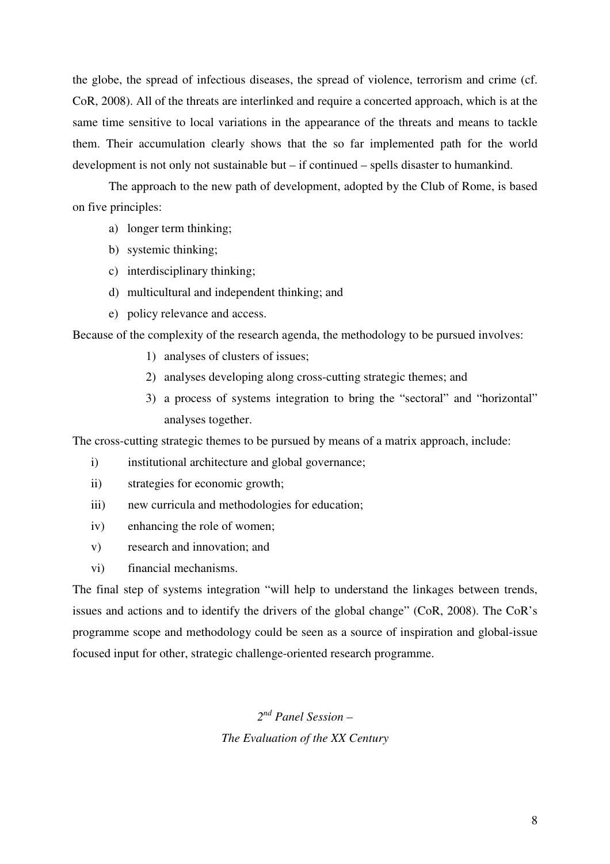the globe, the spread of infectious diseases, the spread of violence, terrorism and crime (cf. CoR, 2008). All of the threats are interlinked and require a concerted approach, which is at the same time sensitive to local variations in the appearance of the threats and means to tackle them. Their accumulation clearly shows that the so far implemented path for the world development is not only not sustainable but – if continued – spells disaster to humankind.

The approach to the new path of development, adopted by the Club of Rome, is based on five principles:

- a) longer term thinking;
- b) systemic thinking;
- c) interdisciplinary thinking;
- d) multicultural and independent thinking; and
- e) policy relevance and access.

Because of the complexity of the research agenda, the methodology to be pursued involves:

- 1) analyses of clusters of issues;
- 2) analyses developing along cross-cutting strategic themes; and
- 3) a process of systems integration to bring the "sectoral" and "horizontal" analyses together.

The cross-cutting strategic themes to be pursued by means of a matrix approach, include:

- i) institutional architecture and global governance;
- ii) strategies for economic growth;
- iii) new curricula and methodologies for education;
- iv) enhancing the role of women;
- v) research and innovation; and
- vi) financial mechanisms.

The final step of systems integration "will help to understand the linkages between trends, issues and actions and to identify the drivers of the global change" (CoR, 2008). The CoR's programme scope and methodology could be seen as a source of inspiration and global-issue focused input for other, strategic challenge-oriented research programme.

> *2 nd Panel Session – The Evaluation of the XX Century*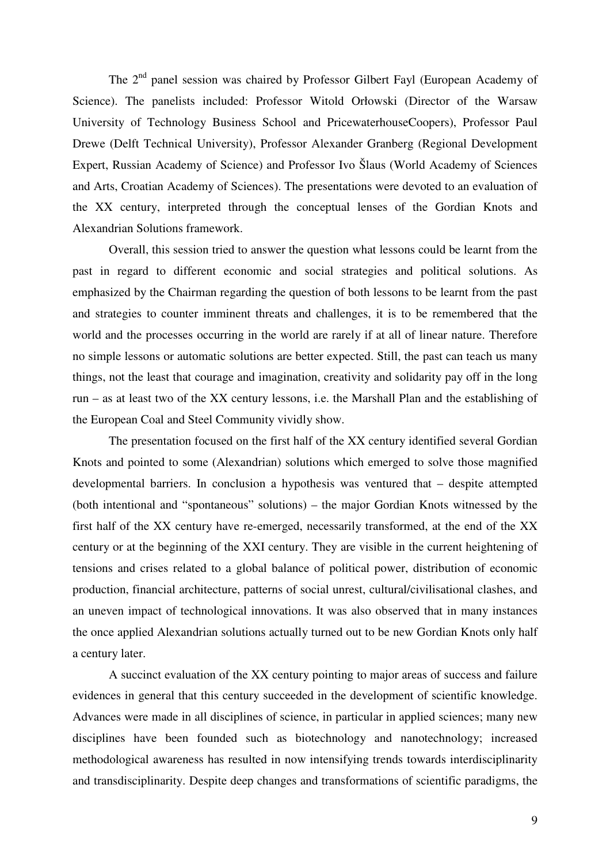The 2<sup>nd</sup> panel session was chaired by Professor Gilbert Fayl (European Academy of Science). The panelists included: Professor Witold Orłowski (Director of the Warsaw University of Technology Business School and PricewaterhouseCoopers), Professor Paul Drewe (Delft Technical University), Professor Alexander Granberg (Regional Development Expert, Russian Academy of Science) and Professor Ivo Šlaus (World Academy of Sciences and Arts, Croatian Academy of Sciences). The presentations were devoted to an evaluation of the XX century, interpreted through the conceptual lenses of the Gordian Knots and Alexandrian Solutions framework.

Overall, this session tried to answer the question what lessons could be learnt from the past in regard to different economic and social strategies and political solutions. As emphasized by the Chairman regarding the question of both lessons to be learnt from the past and strategies to counter imminent threats and challenges, it is to be remembered that the world and the processes occurring in the world are rarely if at all of linear nature. Therefore no simple lessons or automatic solutions are better expected. Still, the past can teach us many things, not the least that courage and imagination, creativity and solidarity pay off in the long run – as at least two of the XX century lessons, i.e. the Marshall Plan and the establishing of the European Coal and Steel Community vividly show.

The presentation focused on the first half of the XX century identified several Gordian Knots and pointed to some (Alexandrian) solutions which emerged to solve those magnified developmental barriers. In conclusion a hypothesis was ventured that – despite attempted (both intentional and "spontaneous" solutions) – the major Gordian Knots witnessed by the first half of the XX century have re-emerged, necessarily transformed, at the end of the XX century or at the beginning of the XXI century. They are visible in the current heightening of tensions and crises related to a global balance of political power, distribution of economic production, financial architecture, patterns of social unrest, cultural/civilisational clashes, and an uneven impact of technological innovations. It was also observed that in many instances the once applied Alexandrian solutions actually turned out to be new Gordian Knots only half a century later.

A succinct evaluation of the XX century pointing to major areas of success and failure evidences in general that this century succeeded in the development of scientific knowledge. Advances were made in all disciplines of science, in particular in applied sciences; many new disciplines have been founded such as biotechnology and nanotechnology; increased methodological awareness has resulted in now intensifying trends towards interdisciplinarity and transdisciplinarity. Despite deep changes and transformations of scientific paradigms, the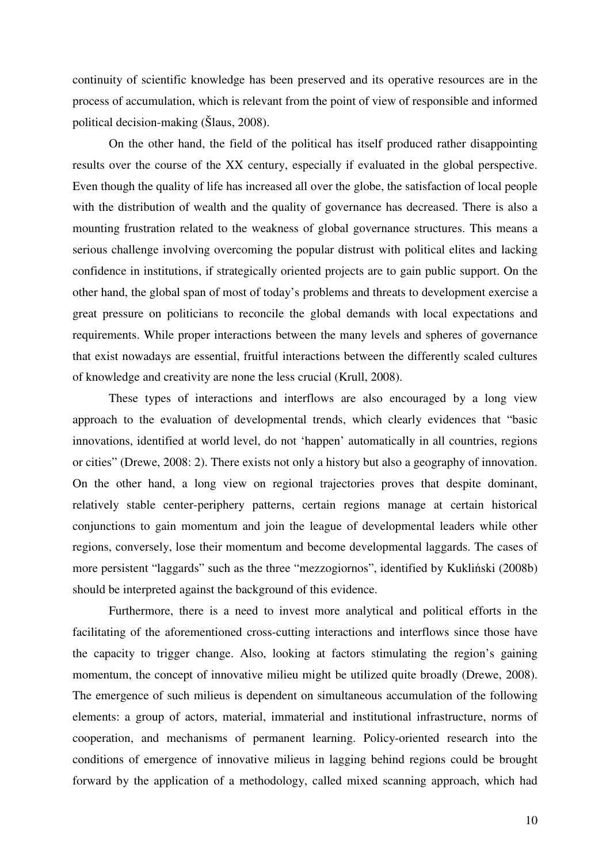continuity of scientific knowledge has been preserved and its operative resources are in the process of accumulation, which is relevant from the point of view of responsible and informed political decision-making (Šlaus, 2008).

On the other hand, the field of the political has itself produced rather disappointing results over the course of the XX century, especially if evaluated in the global perspective. Even though the quality of life has increased all over the globe, the satisfaction of local people with the distribution of wealth and the quality of governance has decreased. There is also a mounting frustration related to the weakness of global governance structures. This means a serious challenge involving overcoming the popular distrust with political elites and lacking confidence in institutions, if strategically oriented projects are to gain public support. On the other hand, the global span of most of today's problems and threats to development exercise a great pressure on politicians to reconcile the global demands with local expectations and requirements. While proper interactions between the many levels and spheres of governance that exist nowadays are essential, fruitful interactions between the differently scaled cultures of knowledge and creativity are none the less crucial (Krull, 2008).

These types of interactions and interflows are also encouraged by a long view approach to the evaluation of developmental trends, which clearly evidences that "basic innovations, identified at world level, do not 'happen' automatically in all countries, regions or cities" (Drewe, 2008: 2). There exists not only a history but also a geography of innovation. On the other hand, a long view on regional trajectories proves that despite dominant, relatively stable center-periphery patterns, certain regions manage at certain historical conjunctions to gain momentum and join the league of developmental leaders while other regions, conversely, lose their momentum and become developmental laggards. The cases of more persistent "laggards" such as the three "mezzogiornos", identified by Kukliński (2008b) should be interpreted against the background of this evidence.

Furthermore, there is a need to invest more analytical and political efforts in the facilitating of the aforementioned cross-cutting interactions and interflows since those have the capacity to trigger change. Also, looking at factors stimulating the region's gaining momentum, the concept of innovative milieu might be utilized quite broadly (Drewe, 2008). The emergence of such milieus is dependent on simultaneous accumulation of the following elements: a group of actors, material, immaterial and institutional infrastructure, norms of cooperation, and mechanisms of permanent learning. Policy-oriented research into the conditions of emergence of innovative milieus in lagging behind regions could be brought forward by the application of a methodology, called mixed scanning approach, which had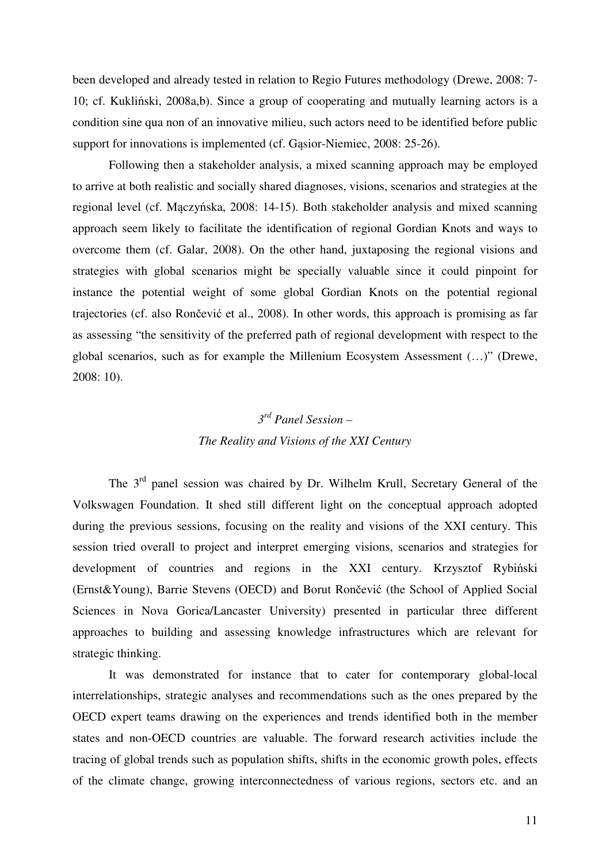been developed and already tested in relation to Regio Futures methodology (Drewe, 2008: 7- 10; cf. Kukliński, 2008a,b). Since a group of cooperating and mutually learning actors is a condition sine qua non of an innovative milieu, such actors need to be identified before public support for innovations is implemented (cf. Gąsior-Niemiec, 2008: 25-26).

Following then a stakeholder analysis, a mixed scanning approach may be employed to arrive at both realistic and socially shared diagnoses, visions, scenarios and strategies at the regional level (cf. Mączyńska, 2008: 14-15). Both stakeholder analysis and mixed scanning approach seem likely to facilitate the identification of regional Gordian Knots and ways to overcome them (cf. Galar, 2008). On the other hand, juxtaposing the regional visions and strategies with global scenarios might be specially valuable since it could pinpoint for instance the potential weight of some global Gordian Knots on the potential regional trajectories (cf. also Rončević et al., 2008). In other words, this approach is promising as far as assessing "the sensitivity of the preferred path of regional development with respect to the global scenarios, such as for example the Millenium Ecosystem Assessment (…)" (Drewe, 2008: 10).

# *3 rd Panel Session – The Reality and Visions of the XXI Century*

The 3rd panel session was chaired by Dr. Wilhelm Krull, Secretary General of the Volkswagen Foundation. It shed still different light on the conceptual approach adopted during the previous sessions, focusing on the reality and visions of the XXI century. This session tried overall to project and interpret emerging visions, scenarios and strategies for development of countries and regions in the XXI century. Krzysztof Rybiński (Ernst&Young), Barrie Stevens (OECD) and Borut Rončević (the School of Applied Social Sciences in Nova Gorica/Lancaster University) presented in particular three different approaches to building and assessing knowledge infrastructures which are relevant for strategic thinking.

It was demonstrated for instance that to cater for contemporary global-local interrelationships, strategic analyses and recommendations such as the ones prepared by the OECD expert teams drawing on the experiences and trends identified both in the member states and non-OECD countries are valuable. The forward research activities include the tracing of global trends such as population shifts, shifts in the economic growth poles, effects of the climate change, growing interconnectedness of various regions, sectors etc. and an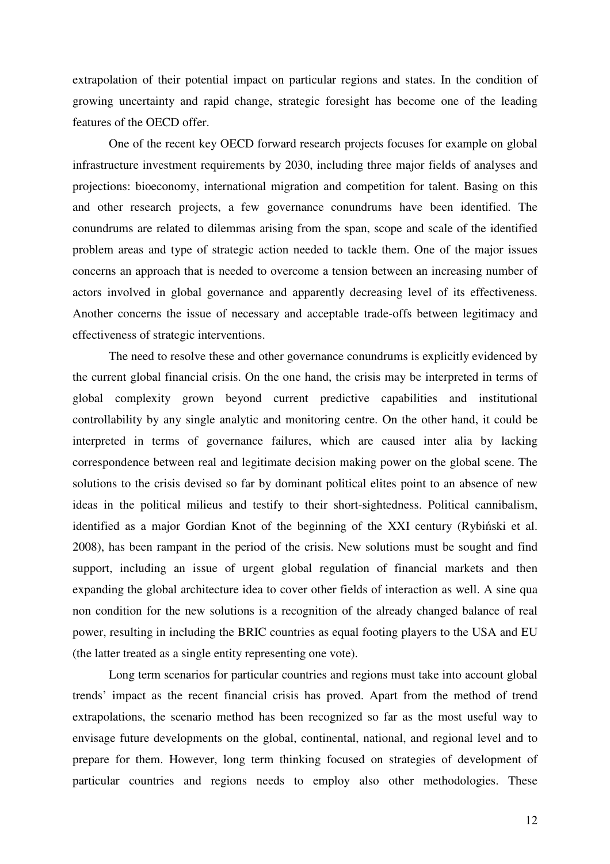extrapolation of their potential impact on particular regions and states. In the condition of growing uncertainty and rapid change, strategic foresight has become one of the leading features of the OECD offer.

One of the recent key OECD forward research projects focuses for example on global infrastructure investment requirements by 2030, including three major fields of analyses and projections: bioeconomy, international migration and competition for talent. Basing on this and other research projects, a few governance conundrums have been identified. The conundrums are related to dilemmas arising from the span, scope and scale of the identified problem areas and type of strategic action needed to tackle them. One of the major issues concerns an approach that is needed to overcome a tension between an increasing number of actors involved in global governance and apparently decreasing level of its effectiveness. Another concerns the issue of necessary and acceptable trade-offs between legitimacy and effectiveness of strategic interventions.

The need to resolve these and other governance conundrums is explicitly evidenced by the current global financial crisis. On the one hand, the crisis may be interpreted in terms of global complexity grown beyond current predictive capabilities and institutional controllability by any single analytic and monitoring centre. On the other hand, it could be interpreted in terms of governance failures, which are caused inter alia by lacking correspondence between real and legitimate decision making power on the global scene. The solutions to the crisis devised so far by dominant political elites point to an absence of new ideas in the political milieus and testify to their short-sightedness. Political cannibalism, identified as a major Gordian Knot of the beginning of the XXI century (Rybiński et al. 2008), has been rampant in the period of the crisis. New solutions must be sought and find support, including an issue of urgent global regulation of financial markets and then expanding the global architecture idea to cover other fields of interaction as well. A sine qua non condition for the new solutions is a recognition of the already changed balance of real power, resulting in including the BRIC countries as equal footing players to the USA and EU (the latter treated as a single entity representing one vote).

Long term scenarios for particular countries and regions must take into account global trends' impact as the recent financial crisis has proved. Apart from the method of trend extrapolations, the scenario method has been recognized so far as the most useful way to envisage future developments on the global, continental, national, and regional level and to prepare for them. However, long term thinking focused on strategies of development of particular countries and regions needs to employ also other methodologies. These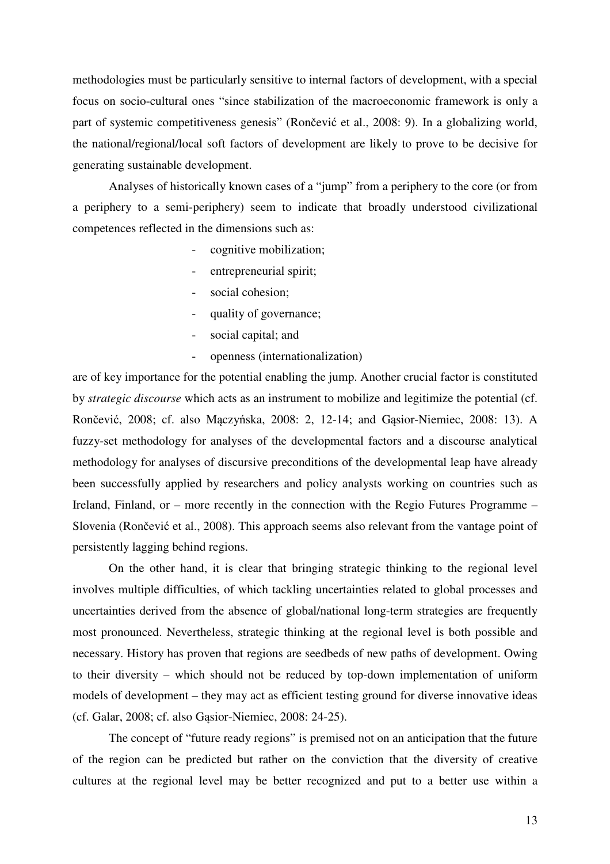methodologies must be particularly sensitive to internal factors of development, with a special focus on socio-cultural ones "since stabilization of the macroeconomic framework is only a part of systemic competitiveness genesis" (Rončević et al., 2008: 9). In a globalizing world, the national/regional/local soft factors of development are likely to prove to be decisive for generating sustainable development.

Analyses of historically known cases of a "jump" from a periphery to the core (or from a periphery to a semi-periphery) seem to indicate that broadly understood civilizational competences reflected in the dimensions such as:

- cognitive mobilization;
- entrepreneurial spirit;
- social cohesion;
- quality of governance;
- social capital; and
- openness (internationalization)

are of key importance for the potential enabling the jump. Another crucial factor is constituted by *strategic discourse* which acts as an instrument to mobilize and legitimize the potential (cf. Rončević, 2008; cf. also Mączyńska, 2008: 2, 12-14; and Gąsior-Niemiec, 2008: 13). A fuzzy-set methodology for analyses of the developmental factors and a discourse analytical methodology for analyses of discursive preconditions of the developmental leap have already been successfully applied by researchers and policy analysts working on countries such as Ireland, Finland, or – more recently in the connection with the Regio Futures Programme – Slovenia (Rončević et al., 2008). This approach seems also relevant from the vantage point of persistently lagging behind regions.

On the other hand, it is clear that bringing strategic thinking to the regional level involves multiple difficulties, of which tackling uncertainties related to global processes and uncertainties derived from the absence of global/national long-term strategies are frequently most pronounced. Nevertheless, strategic thinking at the regional level is both possible and necessary. History has proven that regions are seedbeds of new paths of development. Owing to their diversity – which should not be reduced by top-down implementation of uniform models of development – they may act as efficient testing ground for diverse innovative ideas (cf. Galar, 2008; cf. also Gąsior-Niemiec, 2008: 24-25).

The concept of "future ready regions" is premised not on an anticipation that the future of the region can be predicted but rather on the conviction that the diversity of creative cultures at the regional level may be better recognized and put to a better use within a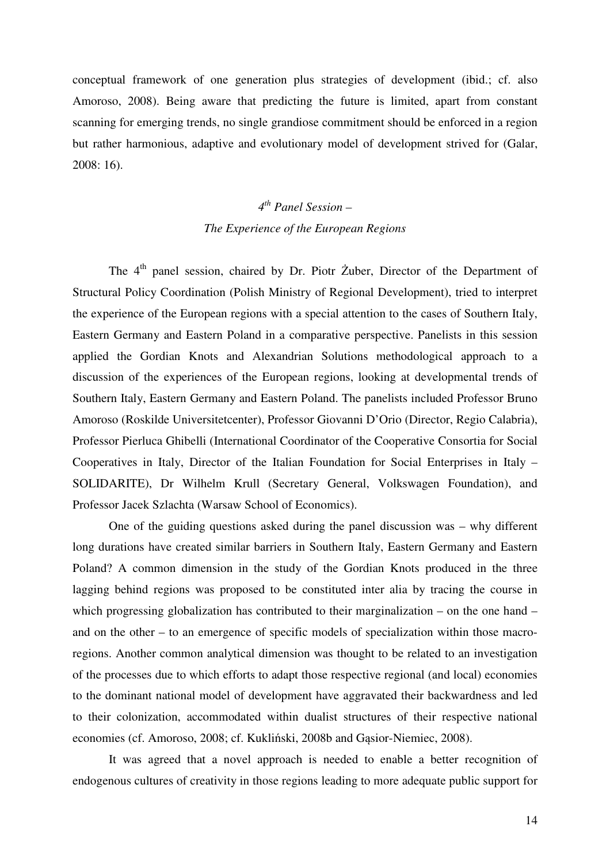conceptual framework of one generation plus strategies of development (ibid.; cf. also Amoroso, 2008). Being aware that predicting the future is limited, apart from constant scanning for emerging trends, no single grandiose commitment should be enforced in a region but rather harmonious, adaptive and evolutionary model of development strived for (Galar, 2008: 16).

# *4 th Panel Session – The Experience of the European Regions*

The 4<sup>th</sup> panel session, chaired by Dr. Piotr Zuber, Director of the Department of Structural Policy Coordination (Polish Ministry of Regional Development), tried to interpret the experience of the European regions with a special attention to the cases of Southern Italy, Eastern Germany and Eastern Poland in a comparative perspective. Panelists in this session applied the Gordian Knots and Alexandrian Solutions methodological approach to a discussion of the experiences of the European regions, looking at developmental trends of Southern Italy, Eastern Germany and Eastern Poland. The panelists included Professor Bruno Amoroso (Roskilde Universitetcenter), Professor Giovanni D'Orio (Director, Regio Calabria), Professor Pierluca Ghibelli (International Coordinator of the Cooperative Consortia for Social Cooperatives in Italy, Director of the Italian Foundation for Social Enterprises in Italy – SOLIDARITE), Dr Wilhelm Krull (Secretary General, Volkswagen Foundation), and Professor Jacek Szlachta (Warsaw School of Economics).

One of the guiding questions asked during the panel discussion was – why different long durations have created similar barriers in Southern Italy, Eastern Germany and Eastern Poland? A common dimension in the study of the Gordian Knots produced in the three lagging behind regions was proposed to be constituted inter alia by tracing the course in which progressing globalization has contributed to their marginalization – on the one hand – and on the other – to an emergence of specific models of specialization within those macroregions. Another common analytical dimension was thought to be related to an investigation of the processes due to which efforts to adapt those respective regional (and local) economies to the dominant national model of development have aggravated their backwardness and led to their colonization, accommodated within dualist structures of their respective national economies (cf. Amoroso, 2008; cf. Kukliński, 2008b and Gąsior-Niemiec, 2008).

It was agreed that a novel approach is needed to enable a better recognition of endogenous cultures of creativity in those regions leading to more adequate public support for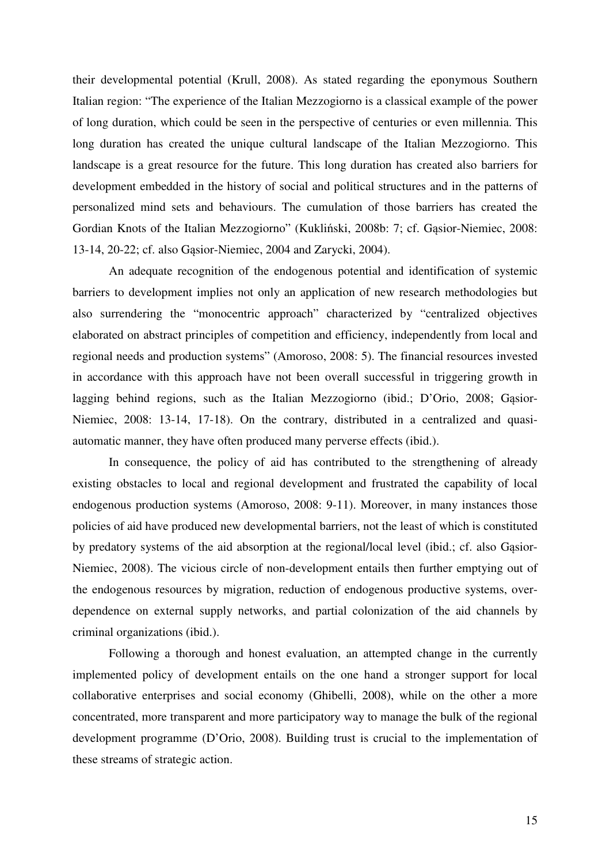their developmental potential (Krull, 2008). As stated regarding the eponymous Southern Italian region: "The experience of the Italian Mezzogiorno is a classical example of the power of long duration, which could be seen in the perspective of centuries or even millennia. This long duration has created the unique cultural landscape of the Italian Mezzogiorno. This landscape is a great resource for the future. This long duration has created also barriers for development embedded in the history of social and political structures and in the patterns of personalized mind sets and behaviours. The cumulation of those barriers has created the Gordian Knots of the Italian Mezzogiorno" (Kukliński, 2008b: 7; cf. Gąsior-Niemiec, 2008: 13-14, 20-22; cf. also Gąsior-Niemiec, 2004 and Zarycki, 2004).

An adequate recognition of the endogenous potential and identification of systemic barriers to development implies not only an application of new research methodologies but also surrendering the "monocentric approach" characterized by "centralized objectives elaborated on abstract principles of competition and efficiency, independently from local and regional needs and production systems" (Amoroso, 2008: 5). The financial resources invested in accordance with this approach have not been overall successful in triggering growth in lagging behind regions, such as the Italian Mezzogiorno (ibid.; D'Orio, 2008; Gąsior-Niemiec, 2008: 13-14, 17-18). On the contrary, distributed in a centralized and quasiautomatic manner, they have often produced many perverse effects (ibid.).

In consequence, the policy of aid has contributed to the strengthening of already existing obstacles to local and regional development and frustrated the capability of local endogenous production systems (Amoroso, 2008: 9-11). Moreover, in many instances those policies of aid have produced new developmental barriers, not the least of which is constituted by predatory systems of the aid absorption at the regional/local level (ibid.; cf. also Gąsior-Niemiec, 2008). The vicious circle of non-development entails then further emptying out of the endogenous resources by migration, reduction of endogenous productive systems, overdependence on external supply networks, and partial colonization of the aid channels by criminal organizations (ibid.).

Following a thorough and honest evaluation, an attempted change in the currently implemented policy of development entails on the one hand a stronger support for local collaborative enterprises and social economy (Ghibelli, 2008), while on the other a more concentrated, more transparent and more participatory way to manage the bulk of the regional development programme (D'Orio, 2008). Building trust is crucial to the implementation of these streams of strategic action.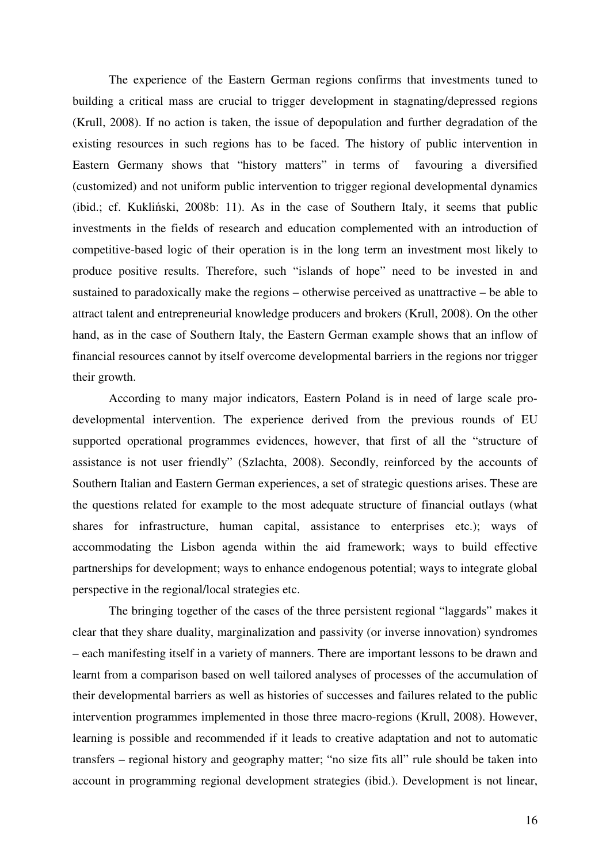The experience of the Eastern German regions confirms that investments tuned to building a critical mass are crucial to trigger development in stagnating/depressed regions (Krull, 2008). If no action is taken, the issue of depopulation and further degradation of the existing resources in such regions has to be faced. The history of public intervention in Eastern Germany shows that "history matters" in terms of favouring a diversified (customized) and not uniform public intervention to trigger regional developmental dynamics (ibid.; cf. Kukliński, 2008b: 11). As in the case of Southern Italy, it seems that public investments in the fields of research and education complemented with an introduction of competitive-based logic of their operation is in the long term an investment most likely to produce positive results. Therefore, such "islands of hope" need to be invested in and sustained to paradoxically make the regions – otherwise perceived as unattractive – be able to attract talent and entrepreneurial knowledge producers and brokers (Krull, 2008). On the other hand, as in the case of Southern Italy, the Eastern German example shows that an inflow of financial resources cannot by itself overcome developmental barriers in the regions nor trigger their growth.

According to many major indicators, Eastern Poland is in need of large scale prodevelopmental intervention. The experience derived from the previous rounds of EU supported operational programmes evidences, however, that first of all the "structure of assistance is not user friendly" (Szlachta, 2008). Secondly, reinforced by the accounts of Southern Italian and Eastern German experiences, a set of strategic questions arises. These are the questions related for example to the most adequate structure of financial outlays (what shares for infrastructure, human capital, assistance to enterprises etc.); ways of accommodating the Lisbon agenda within the aid framework; ways to build effective partnerships for development; ways to enhance endogenous potential; ways to integrate global perspective in the regional/local strategies etc.

The bringing together of the cases of the three persistent regional "laggards" makes it clear that they share duality, marginalization and passivity (or inverse innovation) syndromes – each manifesting itself in a variety of manners. There are important lessons to be drawn and learnt from a comparison based on well tailored analyses of processes of the accumulation of their developmental barriers as well as histories of successes and failures related to the public intervention programmes implemented in those three macro-regions (Krull, 2008). However, learning is possible and recommended if it leads to creative adaptation and not to automatic transfers – regional history and geography matter; "no size fits all" rule should be taken into account in programming regional development strategies (ibid.). Development is not linear,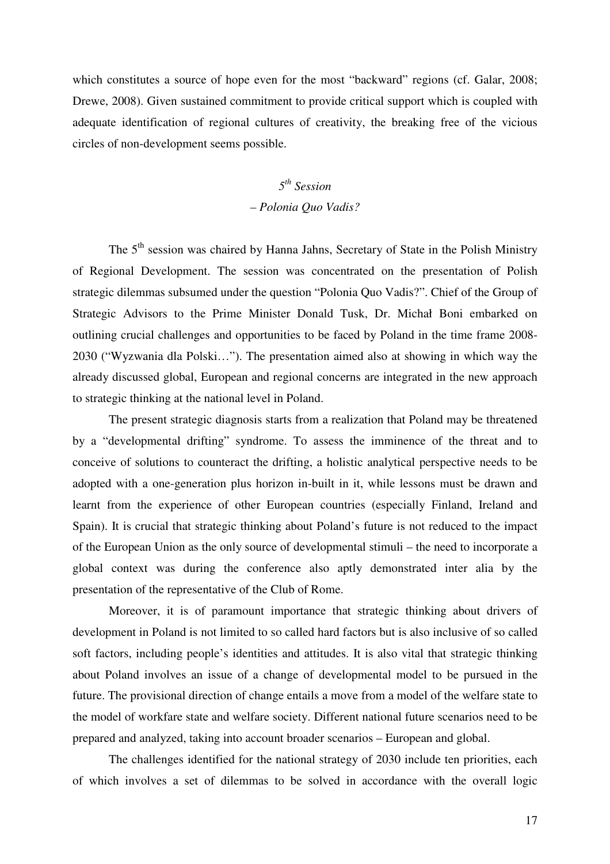which constitutes a source of hope even for the most "backward" regions (cf. Galar, 2008; Drewe, 2008). Given sustained commitment to provide critical support which is coupled with adequate identification of regional cultures of creativity, the breaking free of the vicious circles of non-development seems possible.

# *5 th Session – Polonia Quo Vadis?*

The 5<sup>th</sup> session was chaired by Hanna Jahns, Secretary of State in the Polish Ministry of Regional Development. The session was concentrated on the presentation of Polish strategic dilemmas subsumed under the question "Polonia Quo Vadis?". Chief of the Group of Strategic Advisors to the Prime Minister Donald Tusk, Dr. Michał Boni embarked on outlining crucial challenges and opportunities to be faced by Poland in the time frame 2008- 2030 ("Wyzwania dla Polski…"). The presentation aimed also at showing in which way the already discussed global, European and regional concerns are integrated in the new approach to strategic thinking at the national level in Poland.

The present strategic diagnosis starts from a realization that Poland may be threatened by a "developmental drifting" syndrome. To assess the imminence of the threat and to conceive of solutions to counteract the drifting, a holistic analytical perspective needs to be adopted with a one-generation plus horizon in-built in it, while lessons must be drawn and learnt from the experience of other European countries (especially Finland, Ireland and Spain). It is crucial that strategic thinking about Poland's future is not reduced to the impact of the European Union as the only source of developmental stimuli – the need to incorporate a global context was during the conference also aptly demonstrated inter alia by the presentation of the representative of the Club of Rome.

Moreover, it is of paramount importance that strategic thinking about drivers of development in Poland is not limited to so called hard factors but is also inclusive of so called soft factors, including people's identities and attitudes. It is also vital that strategic thinking about Poland involves an issue of a change of developmental model to be pursued in the future. The provisional direction of change entails a move from a model of the welfare state to the model of workfare state and welfare society. Different national future scenarios need to be prepared and analyzed, taking into account broader scenarios – European and global.

The challenges identified for the national strategy of 2030 include ten priorities, each of which involves a set of dilemmas to be solved in accordance with the overall logic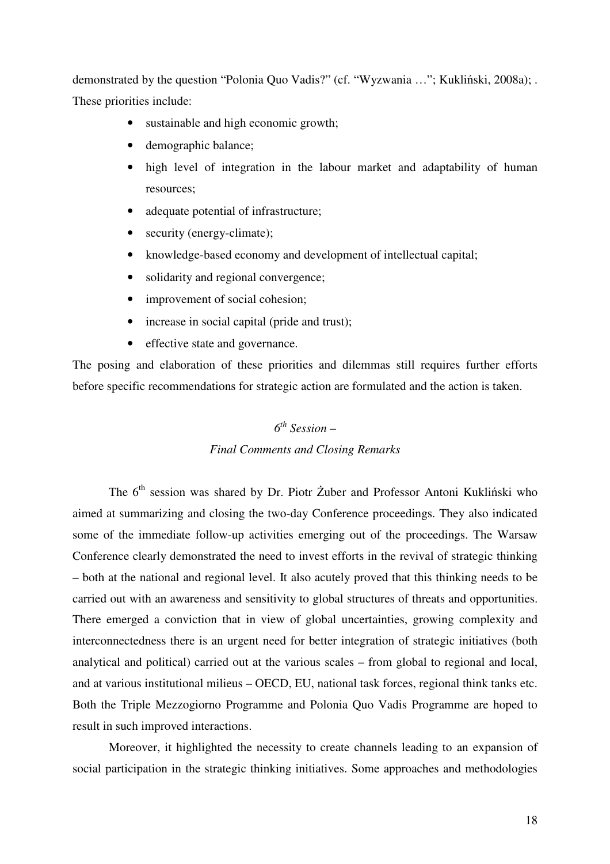demonstrated by the question "Polonia Quo Vadis?" (cf. "Wyzwania …"; Kukliński, 2008a); . These priorities include:

- sustainable and high economic growth;
- demographic balance;
- high level of integration in the labour market and adaptability of human resources;
- adequate potential of infrastructure;
- security (energy-climate);
- knowledge-based economy and development of intellectual capital;
- solidarity and regional convergence;
- improvement of social cohesion:
- increase in social capital (pride and trust);
- effective state and governance.

The posing and elaboration of these priorities and dilemmas still requires further efforts before specific recommendations for strategic action are formulated and the action is taken.

# *6 th Session – Final Comments and Closing Remarks*

The 6<sup>th</sup> session was shared by Dr. Piotr Żuber and Professor Antoni Kukliński who aimed at summarizing and closing the two-day Conference proceedings. They also indicated some of the immediate follow-up activities emerging out of the proceedings. The Warsaw Conference clearly demonstrated the need to invest efforts in the revival of strategic thinking – both at the national and regional level. It also acutely proved that this thinking needs to be carried out with an awareness and sensitivity to global structures of threats and opportunities. There emerged a conviction that in view of global uncertainties, growing complexity and interconnectedness there is an urgent need for better integration of strategic initiatives (both analytical and political) carried out at the various scales – from global to regional and local, and at various institutional milieus – OECD, EU, national task forces, regional think tanks etc. Both the Triple Mezzogiorno Programme and Polonia Quo Vadis Programme are hoped to result in such improved interactions.

Moreover, it highlighted the necessity to create channels leading to an expansion of social participation in the strategic thinking initiatives. Some approaches and methodologies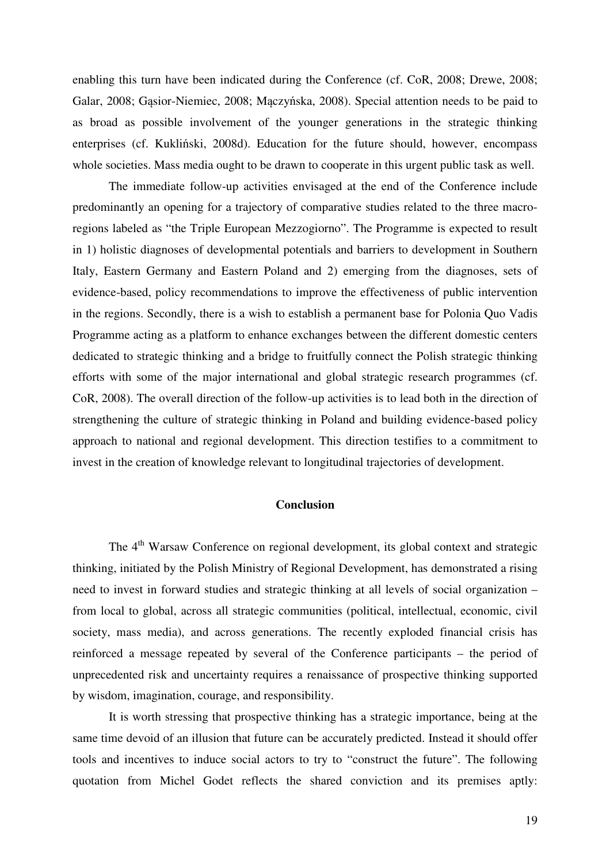enabling this turn have been indicated during the Conference (cf. CoR, 2008; Drewe, 2008; Galar, 2008; Gąsior-Niemiec, 2008; Mączyńska, 2008). Special attention needs to be paid to as broad as possible involvement of the younger generations in the strategic thinking enterprises (cf. Kukliński, 2008d). Education for the future should, however, encompass whole societies. Mass media ought to be drawn to cooperate in this urgent public task as well.

The immediate follow-up activities envisaged at the end of the Conference include predominantly an opening for a trajectory of comparative studies related to the three macroregions labeled as "the Triple European Mezzogiorno". The Programme is expected to result in 1) holistic diagnoses of developmental potentials and barriers to development in Southern Italy, Eastern Germany and Eastern Poland and 2) emerging from the diagnoses, sets of evidence-based, policy recommendations to improve the effectiveness of public intervention in the regions. Secondly, there is a wish to establish a permanent base for Polonia Quo Vadis Programme acting as a platform to enhance exchanges between the different domestic centers dedicated to strategic thinking and a bridge to fruitfully connect the Polish strategic thinking efforts with some of the major international and global strategic research programmes (cf. CoR, 2008). The overall direction of the follow-up activities is to lead both in the direction of strengthening the culture of strategic thinking in Poland and building evidence-based policy approach to national and regional development. This direction testifies to a commitment to invest in the creation of knowledge relevant to longitudinal trajectories of development.

#### **Conclusion**

The 4<sup>th</sup> Warsaw Conference on regional development, its global context and strategic thinking, initiated by the Polish Ministry of Regional Development, has demonstrated a rising need to invest in forward studies and strategic thinking at all levels of social organization – from local to global, across all strategic communities (political, intellectual, economic, civil society, mass media), and across generations. The recently exploded financial crisis has reinforced a message repeated by several of the Conference participants – the period of unprecedented risk and uncertainty requires a renaissance of prospective thinking supported by wisdom, imagination, courage, and responsibility.

It is worth stressing that prospective thinking has a strategic importance, being at the same time devoid of an illusion that future can be accurately predicted. Instead it should offer tools and incentives to induce social actors to try to "construct the future". The following quotation from Michel Godet reflects the shared conviction and its premises aptly: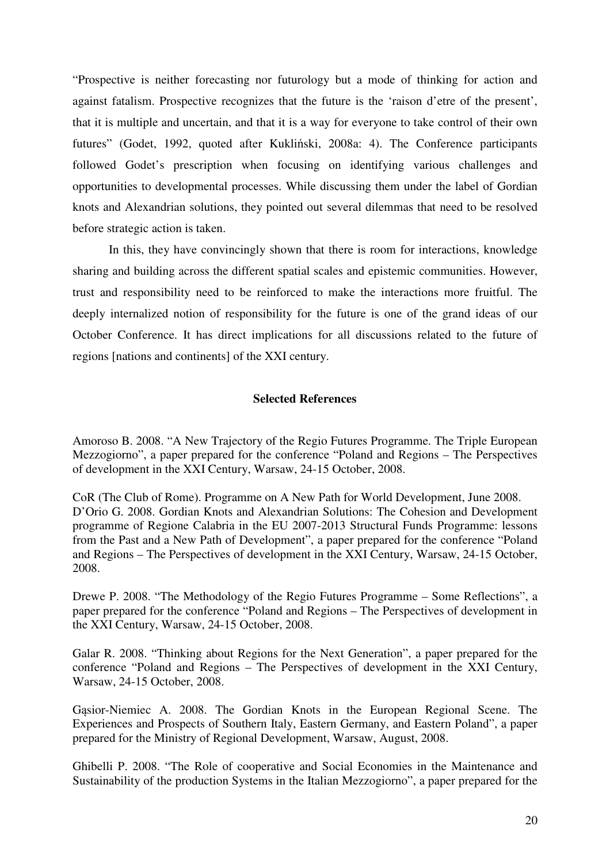"Prospective is neither forecasting nor futurology but a mode of thinking for action and against fatalism. Prospective recognizes that the future is the 'raison d'etre of the present', that it is multiple and uncertain, and that it is a way for everyone to take control of their own futures" (Godet, 1992, quoted after Kukliński, 2008a: 4). The Conference participants followed Godet's prescription when focusing on identifying various challenges and opportunities to developmental processes. While discussing them under the label of Gordian knots and Alexandrian solutions, they pointed out several dilemmas that need to be resolved before strategic action is taken.

In this, they have convincingly shown that there is room for interactions, knowledge sharing and building across the different spatial scales and epistemic communities. However, trust and responsibility need to be reinforced to make the interactions more fruitful. The deeply internalized notion of responsibility for the future is one of the grand ideas of our October Conference. It has direct implications for all discussions related to the future of regions [nations and continents] of the XXI century.

### **Selected References**

Amoroso B. 2008. "A New Trajectory of the Regio Futures Programme. The Triple European Mezzogiorno", a paper prepared for the conference "Poland and Regions – The Perspectives of development in the XXI Century, Warsaw, 24-15 October, 2008.

CoR (The Club of Rome). Programme on A New Path for World Development, June 2008. D'Orio G. 2008. Gordian Knots and Alexandrian Solutions: The Cohesion and Development programme of Regione Calabria in the EU 2007-2013 Structural Funds Programme: lessons from the Past and a New Path of Development", a paper prepared for the conference "Poland and Regions – The Perspectives of development in the XXI Century, Warsaw, 24-15 October, 2008.

Drewe P. 2008. "The Methodology of the Regio Futures Programme – Some Reflections", a paper prepared for the conference "Poland and Regions – The Perspectives of development in the XXI Century, Warsaw, 24-15 October, 2008.

Galar R. 2008. "Thinking about Regions for the Next Generation", a paper prepared for the conference "Poland and Regions – The Perspectives of development in the XXI Century, Warsaw, 24-15 October, 2008.

Gąsior-Niemiec A. 2008. The Gordian Knots in the European Regional Scene. The Experiences and Prospects of Southern Italy, Eastern Germany, and Eastern Poland", a paper prepared for the Ministry of Regional Development, Warsaw, August, 2008.

Ghibelli P. 2008. "The Role of cooperative and Social Economies in the Maintenance and Sustainability of the production Systems in the Italian Mezzogiorno", a paper prepared for the